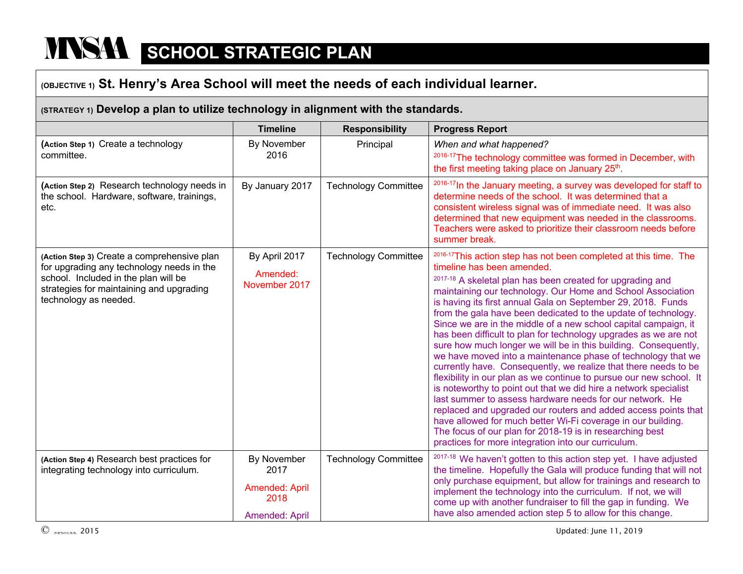# **NASA SCHOOL STRATEGIC PLAN**

## **(OBJECTIVE 1) St. Henry's Area School will meet the needs of each individual learner.**

#### **(STRATEGY 1) Develop a plan to utilize technology in alignment with the standards.**

|                                                                                                                                                                                                       | <b>Timeline</b>                                                 | <b>Responsibility</b>       | <b>Progress Report</b>                                                                                                                                                                                                                                                                                                                                                                                                                                                                                                                                                                                                                                                                                                                                                                                                                                                                                                                                                                                                                                                                                                                                                 |
|-------------------------------------------------------------------------------------------------------------------------------------------------------------------------------------------------------|-----------------------------------------------------------------|-----------------------------|------------------------------------------------------------------------------------------------------------------------------------------------------------------------------------------------------------------------------------------------------------------------------------------------------------------------------------------------------------------------------------------------------------------------------------------------------------------------------------------------------------------------------------------------------------------------------------------------------------------------------------------------------------------------------------------------------------------------------------------------------------------------------------------------------------------------------------------------------------------------------------------------------------------------------------------------------------------------------------------------------------------------------------------------------------------------------------------------------------------------------------------------------------------------|
| (Action Step 1) Create a technology<br>committee.                                                                                                                                                     | By November<br>2016                                             | Principal                   | When and what happened?<br>2016-17 The technology committee was formed in December, with<br>the first meeting taking place on January 25 <sup>th</sup> .                                                                                                                                                                                                                                                                                                                                                                                                                                                                                                                                                                                                                                                                                                                                                                                                                                                                                                                                                                                                               |
| (Action Step 2) Research technology needs in<br>the school. Hardware, software, trainings,<br>etc.                                                                                                    | By January 2017                                                 | <b>Technology Committee</b> | <sup>2016-17</sup> In the January meeting, a survey was developed for staff to<br>determine needs of the school. It was determined that a<br>consistent wireless signal was of immediate need. It was also<br>determined that new equipment was needed in the classrooms.<br>Teachers were asked to prioritize their classroom needs before<br>summer break.                                                                                                                                                                                                                                                                                                                                                                                                                                                                                                                                                                                                                                                                                                                                                                                                           |
| (Action Step 3) Create a comprehensive plan<br>for upgrading any technology needs in the<br>school. Included in the plan will be<br>strategies for maintaining and upgrading<br>technology as needed. | By April 2017<br>Amended:<br>November 2017                      | <b>Technology Committee</b> | 2016-17This action step has not been completed at this time. The<br>timeline has been amended.<br>2017-18 A skeletal plan has been created for upgrading and<br>maintaining our technology. Our Home and School Association<br>is having its first annual Gala on September 29, 2018. Funds<br>from the gala have been dedicated to the update of technology.<br>Since we are in the middle of a new school capital campaign, it<br>has been difficult to plan for technology upgrades as we are not<br>sure how much longer we will be in this building. Consequently,<br>we have moved into a maintenance phase of technology that we<br>currently have. Consequently, we realize that there needs to be<br>flexibility in our plan as we continue to pursue our new school. It<br>is noteworthy to point out that we did hire a network specialist<br>last summer to assess hardware needs for our network. He<br>replaced and upgraded our routers and added access points that<br>have allowed for much better Wi-Fi coverage in our building.<br>The focus of our plan for 2018-19 is in researching best<br>practices for more integration into our curriculum. |
| (Action Step 4) Research best practices for<br>integrating technology into curriculum.                                                                                                                | By November<br>2017<br>Amended: April<br>2018<br>Amended: April | <b>Technology Committee</b> | <sup>2017-18</sup> We haven't gotten to this action step yet. I have adjusted<br>the timeline. Hopefully the Gala will produce funding that will not<br>only purchase equipment, but allow for trainings and research to<br>implement the technology into the curriculum. If not, we will<br>come up with another fundraiser to fill the gap in funding. We<br>have also amended action step 5 to allow for this change.                                                                                                                                                                                                                                                                                                                                                                                                                                                                                                                                                                                                                                                                                                                                               |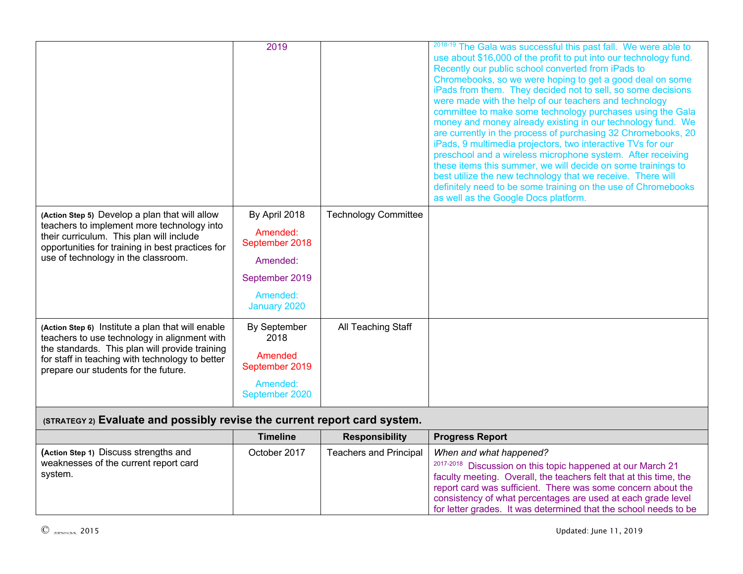|                                                                                                                                           | 2019                       | <b>Technology Committee</b>   | 2018-19 The Gala was successful this past fall. We were able to<br>use about \$16,000 of the profit to put into our technology fund.<br>Recently our public school converted from iPads to<br>Chromebooks, so we were hoping to get a good deal on some<br>iPads from them. They decided not to sell, so some decisions<br>were made with the help of our teachers and technology<br>committee to make some technology purchases using the Gala<br>money and money already existing in our technology fund. We<br>are currently in the process of purchasing 32 Chromebooks, 20<br>iPads, 9 multimedia projectors, two interactive TVs for our<br>preschool and a wireless microphone system. After receiving<br>these items this summer, we will decide on some trainings to<br>best utilize the new technology that we receive. There will<br>definitely need to be some training on the use of Chromebooks<br>as well as the Google Docs platform. |
|-------------------------------------------------------------------------------------------------------------------------------------------|----------------------------|-------------------------------|-------------------------------------------------------------------------------------------------------------------------------------------------------------------------------------------------------------------------------------------------------------------------------------------------------------------------------------------------------------------------------------------------------------------------------------------------------------------------------------------------------------------------------------------------------------------------------------------------------------------------------------------------------------------------------------------------------------------------------------------------------------------------------------------------------------------------------------------------------------------------------------------------------------------------------------------------------|
| (Action Step 5) Develop a plan that will allow<br>teachers to implement more technology into                                              | By April 2018<br>Amended:  |                               |                                                                                                                                                                                                                                                                                                                                                                                                                                                                                                                                                                                                                                                                                                                                                                                                                                                                                                                                                       |
| their curriculum. This plan will include<br>opportunities for training in best practices for                                              | September 2018             |                               |                                                                                                                                                                                                                                                                                                                                                                                                                                                                                                                                                                                                                                                                                                                                                                                                                                                                                                                                                       |
| use of technology in the classroom.                                                                                                       | Amended:                   |                               |                                                                                                                                                                                                                                                                                                                                                                                                                                                                                                                                                                                                                                                                                                                                                                                                                                                                                                                                                       |
|                                                                                                                                           | September 2019             |                               |                                                                                                                                                                                                                                                                                                                                                                                                                                                                                                                                                                                                                                                                                                                                                                                                                                                                                                                                                       |
|                                                                                                                                           | Amended:<br>January 2020   |                               |                                                                                                                                                                                                                                                                                                                                                                                                                                                                                                                                                                                                                                                                                                                                                                                                                                                                                                                                                       |
| (Action Step 6) Institute a plan that will enable<br>teachers to use technology in alignment with                                         | By September<br>2018       | All Teaching Staff            |                                                                                                                                                                                                                                                                                                                                                                                                                                                                                                                                                                                                                                                                                                                                                                                                                                                                                                                                                       |
| the standards. This plan will provide training<br>for staff in teaching with technology to better<br>prepare our students for the future. | Amended<br>September 2019  |                               |                                                                                                                                                                                                                                                                                                                                                                                                                                                                                                                                                                                                                                                                                                                                                                                                                                                                                                                                                       |
|                                                                                                                                           | Amended:<br>September 2020 |                               |                                                                                                                                                                                                                                                                                                                                                                                                                                                                                                                                                                                                                                                                                                                                                                                                                                                                                                                                                       |
| (STRATEGY 2) Evaluate and possibly revise the current report card system.                                                                 |                            |                               |                                                                                                                                                                                                                                                                                                                                                                                                                                                                                                                                                                                                                                                                                                                                                                                                                                                                                                                                                       |
|                                                                                                                                           | <b>Timeline</b>            | <b>Responsibility</b>         | <b>Progress Report</b>                                                                                                                                                                                                                                                                                                                                                                                                                                                                                                                                                                                                                                                                                                                                                                                                                                                                                                                                |
| (Action Step 1) Discuss strengths and<br>weaknesses of the current report card                                                            | October 2017               | <b>Teachers and Principal</b> | When and what happened?<br>2017-2018 Discussion on this topic happened at our March 21                                                                                                                                                                                                                                                                                                                                                                                                                                                                                                                                                                                                                                                                                                                                                                                                                                                                |
|                                                                                                                                           |                            |                               |                                                                                                                                                                                                                                                                                                                                                                                                                                                                                                                                                                                                                                                                                                                                                                                                                                                                                                                                                       |

system.

faculty meeting. Overall, the teachers felt that at this time, the report card was sufficient. There was some concern about the consistency of what percentages are used at each grade level for letter grades. It was determined that the school needs to be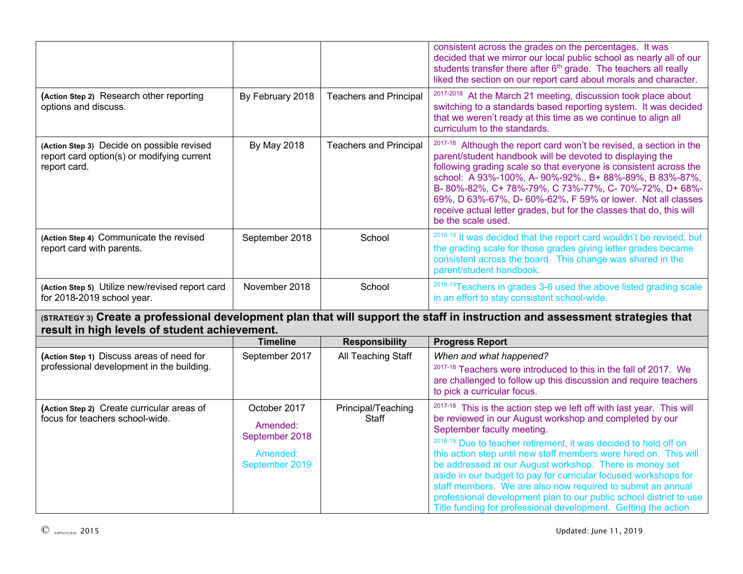|                                                                                                          |                                                                          |                               | consistent across the grades on the percentages. It was<br>decided that we mirror our local public school as nearly all of our<br>students transfer there after 6 <sup>th</sup> grade. The teachers all really<br>liked the section on our report card about morals and character.                                                                                                                                                                                                                                                                                         |
|----------------------------------------------------------------------------------------------------------|--------------------------------------------------------------------------|-------------------------------|----------------------------------------------------------------------------------------------------------------------------------------------------------------------------------------------------------------------------------------------------------------------------------------------------------------------------------------------------------------------------------------------------------------------------------------------------------------------------------------------------------------------------------------------------------------------------|
| (Action Step 2) Research other reporting<br>options and discuss.                                         | By February 2018                                                         | <b>Teachers and Principal</b> | 2017-2018 At the March 21 meeting, discussion took place about<br>switching to a standards based reporting system. It was decided<br>that we weren't ready at this time as we continue to align all<br>curriculum to the standards.                                                                                                                                                                                                                                                                                                                                        |
| (Action Step 3) Decide on possible revised<br>report card option(s) or modifying current<br>report card. | By May 2018                                                              | <b>Teachers and Principal</b> | 2017-18 Although the report card won't be revised, a section in the<br>parent/student handbook will be devoted to displaying the<br>following grading scale so that everyone is consistent across the<br>school: A 93%-100%, A-90%-92%., B+88%-89%, B 83%-87%,<br>B-80%-82%, C+78%-79%, C73%-77%, C-70%-72%, D+68%-<br>69%, D 63%-67%, D- 60%-62%, F 59% or lower. Not all classes<br>receive actual letter grades, but for the classes that do, this will<br>be the scale used.                                                                                           |
| (Action Step 4) Communicate the revised<br>report card with parents.                                     | September 2018                                                           | School                        | 2018-19 It was decided that the report card wouldn't be revised, but<br>the grading scale for those grades giving letter grades became<br>consistent across the board. This change was shared in the<br>parent/student handbook.                                                                                                                                                                                                                                                                                                                                           |
| (Action Step 5) Utilize new/revised report card<br>for 2018-2019 school year.                            | November 2018                                                            | School                        | 2018-19 Teachers in grades 3-6 used the above listed grading scale<br>in an effort to stay consistent school-wide.                                                                                                                                                                                                                                                                                                                                                                                                                                                         |
| result in high levels of student achievement.                                                            |                                                                          |                               | (STRATEGY 3) Create a professional development plan that will support the staff in instruction and assessment strategies that                                                                                                                                                                                                                                                                                                                                                                                                                                              |
|                                                                                                          | <b>Timeline</b>                                                          | <b>Responsibility</b>         | <b>Progress Report</b>                                                                                                                                                                                                                                                                                                                                                                                                                                                                                                                                                     |
| (Action Step 1) Discuss areas of need for<br>professional development in the building.                   | September 2017                                                           | All Teaching Staff            | When and what happened?<br>2017-18 Teachers were introduced to this in the fall of 2017. We<br>are challenged to follow up this discussion and require teachers<br>to pick a curricular focus.                                                                                                                                                                                                                                                                                                                                                                             |
| (Action Step 2) Create curricular areas of<br>focus for teachers school-wide.                            | October 2017<br>Amended:<br>September 2018<br>Amended:<br>September 2019 | Principal/Teaching<br>Staff   | 2017-18 This is the action step we left off with last year. This will<br>be reviewed in our August workshop and completed by our<br>September faculty meeting.<br>2018-19 Due to teacher retirement, it was decided to hold off on<br>this action step until new staff members were hired on. This will<br>be addressed at our August workshop. There is money set<br>aside in our budget to pay for curricular focused workshops for<br>staff members. We are also now required to submit an annual<br>professional development plan to our public school district to use |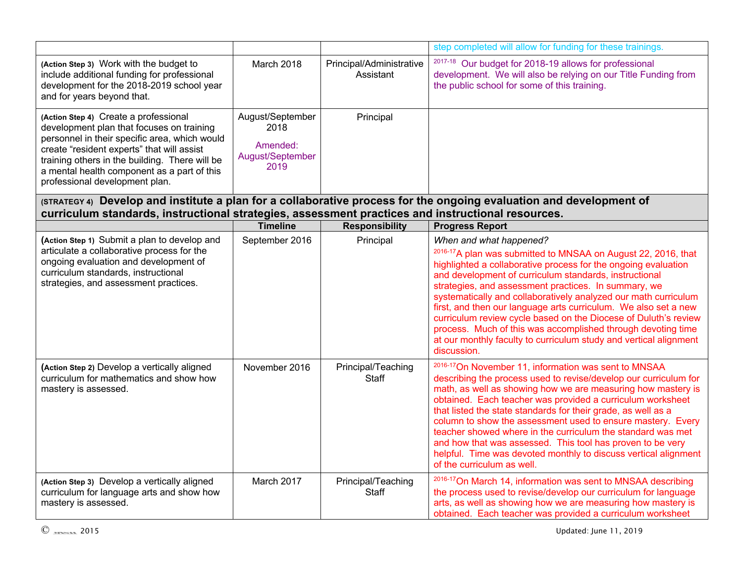|                                                                                                                                                                                                                                                                                                                      |                                                                  |                                       | step completed will allow for funding for these trainings.                                                                                                                                                                                                                                                                                                                                                                                                                                                                                                                                                                                |
|----------------------------------------------------------------------------------------------------------------------------------------------------------------------------------------------------------------------------------------------------------------------------------------------------------------------|------------------------------------------------------------------|---------------------------------------|-------------------------------------------------------------------------------------------------------------------------------------------------------------------------------------------------------------------------------------------------------------------------------------------------------------------------------------------------------------------------------------------------------------------------------------------------------------------------------------------------------------------------------------------------------------------------------------------------------------------------------------------|
| (Action Step 3) Work with the budget to<br>include additional funding for professional<br>development for the 2018-2019 school year<br>and for years beyond that.                                                                                                                                                    | March 2018                                                       | Principal/Administrative<br>Assistant | <sup>2017-18</sup> Our budget for 2018-19 allows for professional<br>development. We will also be relying on our Title Funding from<br>the public school for some of this training.                                                                                                                                                                                                                                                                                                                                                                                                                                                       |
| (Action Step 4) Create a professional<br>development plan that focuses on training<br>personnel in their specific area, which would<br>create "resident experts" that will assist<br>training others in the building. There will be<br>a mental health component as a part of this<br>professional development plan. | August/September<br>2018<br>Amended:<br>August/September<br>2019 | Principal                             |                                                                                                                                                                                                                                                                                                                                                                                                                                                                                                                                                                                                                                           |
| curriculum standards, instructional strategies, assessment practices and instructional resources.                                                                                                                                                                                                                    |                                                                  |                                       | (STRATEGY 4) Develop and institute a plan for a collaborative process for the ongoing evaluation and development of                                                                                                                                                                                                                                                                                                                                                                                                                                                                                                                       |
|                                                                                                                                                                                                                                                                                                                      | <b>Timeline</b>                                                  | <b>Responsibility</b>                 | <b>Progress Report</b>                                                                                                                                                                                                                                                                                                                                                                                                                                                                                                                                                                                                                    |
| (Action Step 1) Submit a plan to develop and<br>articulate a collaborative process for the<br>ongoing evaluation and development of<br>curriculum standards, instructional<br>strategies, and assessment practices.                                                                                                  | September 2016                                                   | Principal                             | When and what happened?<br>2016-17A plan was submitted to MNSAA on August 22, 2016, that<br>highlighted a collaborative process for the ongoing evaluation<br>and development of curriculum standards, instructional<br>strategies, and assessment practices. In summary, we<br>systematically and collaboratively analyzed our math curriculum<br>first, and then our language arts curriculum. We also set a new<br>curriculum review cycle based on the Diocese of Duluth's review<br>process. Much of this was accomplished through devoting time<br>at our monthly faculty to curriculum study and vertical alignment<br>discussion. |
| (Action Step 2) Develop a vertically aligned<br>curriculum for mathematics and show how<br>mastery is assessed.                                                                                                                                                                                                      | November 2016                                                    | Principal/Teaching<br><b>Staff</b>    | <sup>2016-17</sup> On November 11, information was sent to MNSAA<br>describing the process used to revise/develop our curriculum for<br>math, as well as showing how we are measuring how mastery is<br>obtained. Each teacher was provided a curriculum worksheet<br>that listed the state standards for their grade, as well as a<br>column to show the assessment used to ensure mastery. Every<br>teacher showed where in the curriculum the standard was met<br>and how that was assessed. This tool has proven to be very<br>helpful. Time was devoted monthly to discuss vertical alignment<br>of the curriculum as well.          |
| (Action Step 3) Develop a vertically aligned<br>curriculum for language arts and show how<br>mastery is assessed.                                                                                                                                                                                                    | March 2017                                                       | Principal/Teaching<br>Staff           | <sup>2016-17</sup> On March 14, information was sent to MNSAA describing<br>the process used to revise/develop our curriculum for language<br>arts, as well as showing how we are measuring how mastery is<br>obtained. Each teacher was provided a curriculum worksheet                                                                                                                                                                                                                                                                                                                                                                  |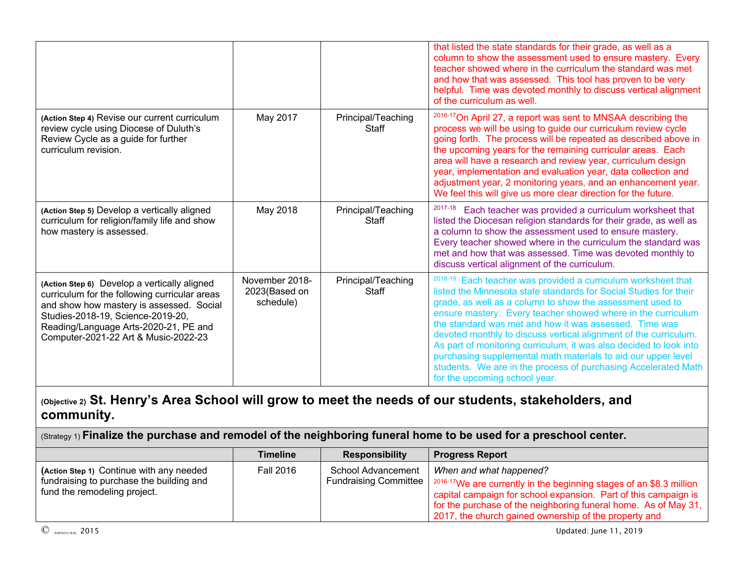|                                                                                                                                                                                                                                                                 |                                              |                             | that listed the state standards for their grade, as well as a<br>column to show the assessment used to ensure mastery. Every<br>teacher showed where in the curriculum the standard was met<br>and how that was assessed. This tool has proven to be very<br>helpful. Time was devoted monthly to discuss vertical alignment<br>of the curriculum as well.                                                                                                                                                                                                                                                                                 |
|-----------------------------------------------------------------------------------------------------------------------------------------------------------------------------------------------------------------------------------------------------------------|----------------------------------------------|-----------------------------|--------------------------------------------------------------------------------------------------------------------------------------------------------------------------------------------------------------------------------------------------------------------------------------------------------------------------------------------------------------------------------------------------------------------------------------------------------------------------------------------------------------------------------------------------------------------------------------------------------------------------------------------|
| (Action Step 4) Revise our current curriculum<br>review cycle using Diocese of Duluth's<br>Review Cycle as a guide for further<br>curriculum revision.                                                                                                          | May 2017                                     | Principal/Teaching<br>Staff | <sup>2016-17</sup> On April 27, a report was sent to MNSAA describing the<br>process we will be using to guide our curriculum review cycle<br>going forth. The process will be repeated as described above in<br>the upcoming years for the remaining curricular areas. Each<br>area will have a research and review year, curriculum design<br>year, implementation and evaluation year, data collection and<br>adjustment year, 2 monitoring years, and an enhancement year.<br>We feel this will give us more clear direction for the future.                                                                                           |
| (Action Step 5) Develop a vertically aligned<br>curriculum for religion/family life and show<br>how mastery is assessed.                                                                                                                                        | May 2018                                     | Principal/Teaching<br>Staff | 2017-18<br>Each teacher was provided a curriculum worksheet that<br>listed the Diocesan religion standards for their grade, as well as<br>a column to show the assessment used to ensure mastery.<br>Every teacher showed where in the curriculum the standard was<br>met and how that was assessed. Time was devoted monthly to<br>discuss vertical alignment of the curriculum.                                                                                                                                                                                                                                                          |
| (Action Step 6) Develop a vertically aligned<br>curriculum for the following curricular areas<br>and show how mastery is assessed. Social<br>Studies-2018-19, Science-2019-20,<br>Reading/Language Arts-2020-21, PE and<br>Computer-2021-22 Art & Music-2022-23 | November 2018-<br>2023(Based on<br>schedule) | Principal/Teaching<br>Staff | 2018-19<br>Each teacher was provided a curriculum worksheet that<br>listed the Minnesota state standards for Social Studies for their<br>grade, as well as a column to show the assessment used to<br>ensure mastery. Every teacher showed where in the curriculum<br>the standard was met and how it was assessed. Time was<br>devoted monthly to discuss vertical alignment of the curriculum.<br>As part of monitoring curriculum, it was also decided to look into<br>purchasing supplemental math materials to aid our upper level<br>students. We are in the process of purchasing Accelerated Math<br>for the upcoming school year. |

## **(Objective 2) St. Henry's Area School will grow to meet the needs of our students, stakeholders, and community.**

(Strategy 1) **Finalize the purchase and remodel of the neighboring funeral home to be used for a preschool center.**

|                                                                                                                      | <b>Timeline</b>  | <b>Responsibility</b>                       | <b>Progress Report</b>                                                                                                                                                                                                                                                                                      |
|----------------------------------------------------------------------------------------------------------------------|------------------|---------------------------------------------|-------------------------------------------------------------------------------------------------------------------------------------------------------------------------------------------------------------------------------------------------------------------------------------------------------------|
| (Action Step 1) Continue with any needed<br>fundraising to purchase the building and<br>fund the remodeling project. | <b>Fall 2016</b> | School Advancement<br>Fundraising Committee | When and what happened?<br>1 <sup>2016-17</sup> We are currently in the beginning stages of an \$8.3 million<br>capital campaign for school expansion. Part of this campaign is<br>for the purchase of the neighboring funeral home. As of May 31,<br>2017, the church gained ownership of the property and |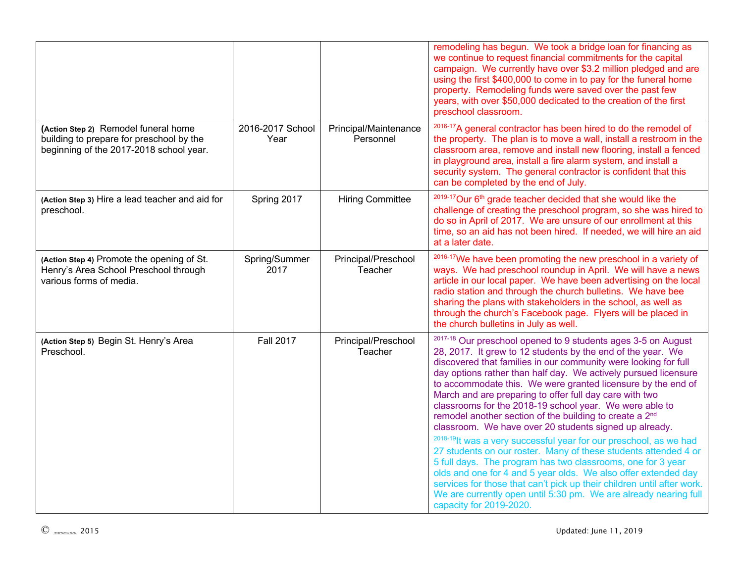|                                                                                                                             |                          |                                    | remodeling has begun. We took a bridge loan for financing as<br>we continue to request financial commitments for the capital<br>campaign. We currently have over \$3.2 million pledged and are<br>using the first \$400,000 to come in to pay for the funeral home<br>property. Remodeling funds were saved over the past few<br>years, with over \$50,000 dedicated to the creation of the first<br>preschool classroom.                                                                                                                                                                                                                                                                                                                                                                                                                                                                                                                                                                                                                    |
|-----------------------------------------------------------------------------------------------------------------------------|--------------------------|------------------------------------|----------------------------------------------------------------------------------------------------------------------------------------------------------------------------------------------------------------------------------------------------------------------------------------------------------------------------------------------------------------------------------------------------------------------------------------------------------------------------------------------------------------------------------------------------------------------------------------------------------------------------------------------------------------------------------------------------------------------------------------------------------------------------------------------------------------------------------------------------------------------------------------------------------------------------------------------------------------------------------------------------------------------------------------------|
| (Action Step 2) Remodel funeral home<br>building to prepare for preschool by the<br>beginning of the 2017-2018 school year. | 2016-2017 School<br>Year | Principal/Maintenance<br>Personnel | 2016-17A general contractor has been hired to do the remodel of<br>the property. The plan is to move a wall, install a restroom in the<br>classroom area, remove and install new flooring, install a fenced<br>in playground area, install a fire alarm system, and install a<br>security system. The general contractor is confident that this<br>can be completed by the end of July.                                                                                                                                                                                                                                                                                                                                                                                                                                                                                                                                                                                                                                                      |
| (Action Step 3) Hire a lead teacher and aid for<br>preschool.                                                               | Spring 2017              | <b>Hiring Committee</b>            | <sup>2019-17</sup> Our 6 <sup>th</sup> grade teacher decided that she would like the<br>challenge of creating the preschool program, so she was hired to<br>do so in April of 2017. We are unsure of our enrollment at this<br>time, so an aid has not been hired. If needed, we will hire an aid<br>at a later date.                                                                                                                                                                                                                                                                                                                                                                                                                                                                                                                                                                                                                                                                                                                        |
| (Action Step 4) Promote the opening of St.<br>Henry's Area School Preschool through<br>various forms of media.              | Spring/Summer<br>2017    | Principal/Preschool<br>Teacher     | 2016-17 We have been promoting the new preschool in a variety of<br>ways. We had preschool roundup in April. We will have a news<br>article in our local paper. We have been advertising on the local<br>radio station and through the church bulletins. We have bee<br>sharing the plans with stakeholders in the school, as well as<br>through the church's Facebook page. Flyers will be placed in<br>the church bulletins in July as well.                                                                                                                                                                                                                                                                                                                                                                                                                                                                                                                                                                                               |
| (Action Step 5) Begin St. Henry's Area<br>Preschool.                                                                        | <b>Fall 2017</b>         | Principal/Preschool<br>Teacher     | 2017-18 Our preschool opened to 9 students ages 3-5 on August<br>28, 2017. It grew to 12 students by the end of the year. We<br>discovered that families in our community were looking for full<br>day options rather than half day. We actively pursued licensure<br>to accommodate this. We were granted licensure by the end of<br>March and are preparing to offer full day care with two<br>classrooms for the 2018-19 school year. We were able to<br>remodel another section of the building to create a 2 <sup>nd</sup><br>classroom. We have over 20 students signed up already.<br>2018-19 It was a very successful year for our preschool, as we had<br>27 students on our roster. Many of these students attended 4 or<br>5 full days. The program has two classrooms, one for 3 year<br>olds and one for 4 and 5 year olds. We also offer extended day<br>services for those that can't pick up their children until after work.<br>We are currently open until 5:30 pm. We are already nearing full<br>capacity for 2019-2020. |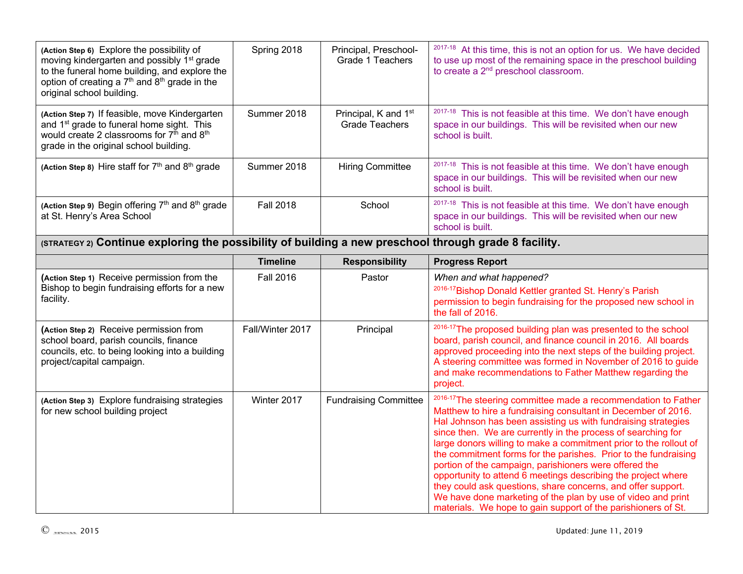| (Action Step 6) Explore the possibility of<br>moving kindergarten and possibly 1 <sup>st</sup> grade<br>to the funeral home building, and explore the<br>option of creating a 7 <sup>th</sup> and 8 <sup>th</sup> grade in the<br>original school building. | Spring 2018                                                                                           | Principal, Preschool-<br>Grade 1 Teachers     | 2017-18 At this time, this is not an option for us. We have decided<br>to use up most of the remaining space in the preschool building<br>to create a 2 <sup>nd</sup> preschool classroom.                                                                                                                                                                                                                                                                                                                                                                                                                                                                                                                                           |  |  |  |
|-------------------------------------------------------------------------------------------------------------------------------------------------------------------------------------------------------------------------------------------------------------|-------------------------------------------------------------------------------------------------------|-----------------------------------------------|--------------------------------------------------------------------------------------------------------------------------------------------------------------------------------------------------------------------------------------------------------------------------------------------------------------------------------------------------------------------------------------------------------------------------------------------------------------------------------------------------------------------------------------------------------------------------------------------------------------------------------------------------------------------------------------------------------------------------------------|--|--|--|
| (Action Step 7) If feasible, move Kindergarten<br>and 1 <sup>st</sup> grade to funeral home sight. This<br>would create 2 classrooms for 7 <sup>th</sup> and 8 <sup>th</sup><br>grade in the original school building.                                      | Summer 2018                                                                                           | Principal, K and 1st<br><b>Grade Teachers</b> | 2017-18 This is not feasible at this time. We don't have enough<br>space in our buildings. This will be revisited when our new<br>school is built.                                                                                                                                                                                                                                                                                                                                                                                                                                                                                                                                                                                   |  |  |  |
| (Action Step 8) Hire staff for 7 <sup>th</sup> and 8 <sup>th</sup> grade                                                                                                                                                                                    | Summer 2018                                                                                           | <b>Hiring Committee</b>                       | <sup>2017-18</sup> This is not feasible at this time. We don't have enough<br>space in our buildings. This will be revisited when our new<br>school is built.                                                                                                                                                                                                                                                                                                                                                                                                                                                                                                                                                                        |  |  |  |
| (Action Step 9) Begin offering 7 <sup>th</sup> and 8 <sup>th</sup> grade<br>at St. Henry's Area School                                                                                                                                                      | <b>Fall 2018</b>                                                                                      | School                                        | 2017-18 This is not feasible at this time. We don't have enough<br>space in our buildings. This will be revisited when our new<br>school is built.                                                                                                                                                                                                                                                                                                                                                                                                                                                                                                                                                                                   |  |  |  |
|                                                                                                                                                                                                                                                             | (STRATEGY 2) Continue exploring the possibility of building a new preschool through grade 8 facility. |                                               |                                                                                                                                                                                                                                                                                                                                                                                                                                                                                                                                                                                                                                                                                                                                      |  |  |  |
|                                                                                                                                                                                                                                                             | <b>Timeline</b>                                                                                       | <b>Responsibility</b>                         | <b>Progress Report</b>                                                                                                                                                                                                                                                                                                                                                                                                                                                                                                                                                                                                                                                                                                               |  |  |  |
| (Action Step 1) Receive permission from the<br>Bishop to begin fundraising efforts for a new<br>facility.                                                                                                                                                   | <b>Fall 2016</b>                                                                                      | Pastor                                        | When and what happened?<br>2016-17 Bishop Donald Kettler granted St. Henry's Parish<br>permission to begin fundraising for the proposed new school in<br>the fall of 2016.                                                                                                                                                                                                                                                                                                                                                                                                                                                                                                                                                           |  |  |  |
| (Action Step 2) Receive permission from<br>school board, parish councils, finance<br>councils, etc. to being looking into a building<br>project/capital campaign.                                                                                           | Fall/Winter 2017                                                                                      | Principal                                     | 2016-17 The proposed building plan was presented to the school<br>board, parish council, and finance council in 2016. All boards<br>approved proceeding into the next steps of the building project.<br>A steering committee was formed in November of 2016 to guide<br>and make recommendations to Father Matthew regarding the<br>project.                                                                                                                                                                                                                                                                                                                                                                                         |  |  |  |
| (Action Step 3) Explore fundraising strategies<br>for new school building project                                                                                                                                                                           | Winter 2017                                                                                           | <b>Fundraising Committee</b>                  | 2016-17 The steering committee made a recommendation to Father<br>Matthew to hire a fundraising consultant in December of 2016.<br>Hal Johnson has been assisting us with fundraising strategies<br>since then. We are currently in the process of searching for<br>large donors willing to make a commitment prior to the rollout of<br>the commitment forms for the parishes. Prior to the fundraising<br>portion of the campaign, parishioners were offered the<br>opportunity to attend 6 meetings describing the project where<br>they could ask questions, share concerns, and offer support.<br>We have done marketing of the plan by use of video and print<br>materials. We hope to gain support of the parishioners of St. |  |  |  |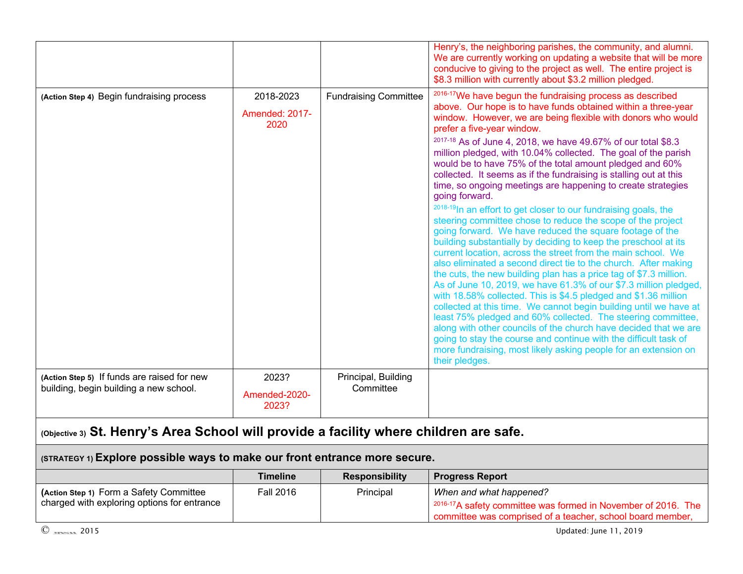|                                                                                       |                                            |                                  | Henry's, the neighboring parishes, the community, and alumni.<br>We are currently working on updating a website that will be more<br>conducive to giving to the project as well. The entire project is<br>\$8.3 million with currently about \$3.2 million pledged.                                                                                                                                                                                                                                                                                                                                                                                                                                                                                                                                                                                                                                                                                                                                                                                                                                                                                                                                                                                                                                                                                                                                                                                                                                                                                                           |
|---------------------------------------------------------------------------------------|--------------------------------------------|----------------------------------|-------------------------------------------------------------------------------------------------------------------------------------------------------------------------------------------------------------------------------------------------------------------------------------------------------------------------------------------------------------------------------------------------------------------------------------------------------------------------------------------------------------------------------------------------------------------------------------------------------------------------------------------------------------------------------------------------------------------------------------------------------------------------------------------------------------------------------------------------------------------------------------------------------------------------------------------------------------------------------------------------------------------------------------------------------------------------------------------------------------------------------------------------------------------------------------------------------------------------------------------------------------------------------------------------------------------------------------------------------------------------------------------------------------------------------------------------------------------------------------------------------------------------------------------------------------------------------|
| (Action Step 4) Begin fundraising process                                             | 2018-2023<br><b>Amended: 2017-</b><br>2020 | <b>Fundraising Committee</b>     | <sup>2016-17</sup> We have begun the fundraising process as described<br>above. Our hope is to have funds obtained within a three-year<br>window. However, we are being flexible with donors who would<br>prefer a five-year window.<br>2017-18 As of June 4, 2018, we have 49.67% of our total \$8.3<br>million pledged, with 10.04% collected. The goal of the parish<br>would be to have 75% of the total amount pledged and 60%<br>collected. It seems as if the fundraising is stalling out at this<br>time, so ongoing meetings are happening to create strategies<br>going forward.<br>2018-19 In an effort to get closer to our fundraising goals, the<br>steering committee chose to reduce the scope of the project<br>going forward. We have reduced the square footage of the<br>building substantially by deciding to keep the preschool at its<br>current location, across the street from the main school. We<br>also eliminated a second direct tie to the church. After making<br>the cuts, the new building plan has a price tag of \$7.3 million.<br>As of June 10, 2019, we have 61.3% of our \$7.3 million pledged,<br>with 18.58% collected. This is \$4.5 pledged and \$1.36 million<br>collected at this time. We cannot begin building until we have at<br>least 75% pledged and 60% collected. The steering committee,<br>along with other councils of the church have decided that we are<br>going to stay the course and continue with the difficult task of<br>more fundraising, most likely asking people for an extension on<br>their pledges. |
| (Action Step 5) If funds are raised for new<br>building, begin building a new school. | 2023?<br>Amended-2020-<br>2023?            | Principal, Building<br>Committee |                                                                                                                                                                                                                                                                                                                                                                                                                                                                                                                                                                                                                                                                                                                                                                                                                                                                                                                                                                                                                                                                                                                                                                                                                                                                                                                                                                                                                                                                                                                                                                               |

# **(Objective 3) St. Henry's Area School will provide a facility where children are safe.**

| (STRATEGY 1) Explore possible ways to make our front entrance more secure.             |                  |                       |                                                                                                                                                               |
|----------------------------------------------------------------------------------------|------------------|-----------------------|---------------------------------------------------------------------------------------------------------------------------------------------------------------|
|                                                                                        | <b>Timeline</b>  | <b>Responsibility</b> | <b>Progress Report</b>                                                                                                                                        |
| (Action Step 1) Form a Safety Committee<br>charged with exploring options for entrance | <b>Fall 2016</b> | Principal             | When and what happened?<br>$1^{2016-17}$ A safety committee was formed in November of 2016. The<br>committee was comprised of a teacher, school board member, |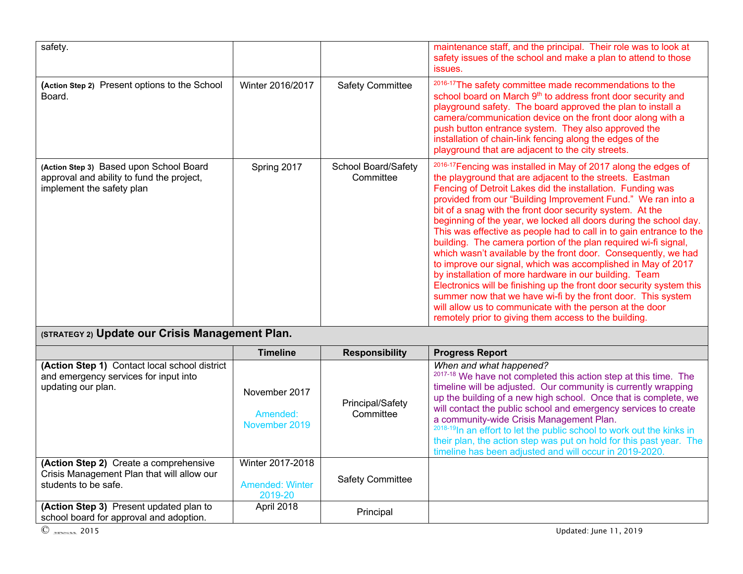| safety.                                                                                                           |                                            |                                  | maintenance staff, and the principal. Their role was to look at<br>safety issues of the school and make a plan to attend to those<br>issues.                                                                                                                                                                                                                                                                                                                                                                                                                                                                                                                                                                                                                                                                                                                                                                                                                                                              |
|-------------------------------------------------------------------------------------------------------------------|--------------------------------------------|----------------------------------|-----------------------------------------------------------------------------------------------------------------------------------------------------------------------------------------------------------------------------------------------------------------------------------------------------------------------------------------------------------------------------------------------------------------------------------------------------------------------------------------------------------------------------------------------------------------------------------------------------------------------------------------------------------------------------------------------------------------------------------------------------------------------------------------------------------------------------------------------------------------------------------------------------------------------------------------------------------------------------------------------------------|
| (Action Step 2) Present options to the School<br>Board.                                                           | Winter 2016/2017                           | <b>Safety Committee</b>          | 2016-17 The safety committee made recommendations to the<br>school board on March 9 <sup>th</sup> to address front door security and<br>playground safety. The board approved the plan to install a<br>camera/communication device on the front door along with a<br>push button entrance system. They also approved the<br>installation of chain-link fencing along the edges of the<br>playground that are adjacent to the city streets.                                                                                                                                                                                                                                                                                                                                                                                                                                                                                                                                                                |
| (Action Step 3) Based upon School Board<br>approval and ability to fund the project,<br>implement the safety plan | Spring 2017                                | School Board/Safety<br>Committee | <sup>2016-17</sup> Fencing was installed in May of 2017 along the edges of<br>the playground that are adjacent to the streets. Eastman<br>Fencing of Detroit Lakes did the installation. Funding was<br>provided from our "Building Improvement Fund." We ran into a<br>bit of a snag with the front door security system. At the<br>beginning of the year, we locked all doors during the school day.<br>This was effective as people had to call in to gain entrance to the<br>building. The camera portion of the plan required wi-fi signal,<br>which wasn't available by the front door. Consequently, we had<br>to improve our signal, which was accomplished in May of 2017<br>by installation of more hardware in our building. Team<br>Electronics will be finishing up the front door security system this<br>summer now that we have wi-fi by the front door. This system<br>will allow us to communicate with the person at the door<br>remotely prior to giving them access to the building. |
| (STRATEGY 2) Update our Crisis Management Plan.                                                                   |                                            |                                  |                                                                                                                                                                                                                                                                                                                                                                                                                                                                                                                                                                                                                                                                                                                                                                                                                                                                                                                                                                                                           |
|                                                                                                                   | <b>Timeline</b>                            | <b>Responsibility</b>            | <b>Progress Report</b>                                                                                                                                                                                                                                                                                                                                                                                                                                                                                                                                                                                                                                                                                                                                                                                                                                                                                                                                                                                    |
| (Action Step 1) Contact local school district<br>and emergency services for input into<br>updating our plan.      | November 2017<br>Amended:<br>November 2019 | Principal/Safety<br>Committee    | When and what happened?<br>2017-18 We have not completed this action step at this time. The<br>timeline will be adjusted. Our community is currently wrapping<br>up the building of a new high school. Once that is complete, we<br>will contact the public school and emergency services to create<br>a community-wide Crisis Management Plan.<br><sup>2018-19</sup> In an effort to let the public school to work out the kinks in                                                                                                                                                                                                                                                                                                                                                                                                                                                                                                                                                                      |

|                                                                                                              | <u>Timeline</u>                                       | Responsibility                | <b>Progress Report</b>                                                                                                                                                                                                                                                                                                                                                                                                                                                                                                                                                            |
|--------------------------------------------------------------------------------------------------------------|-------------------------------------------------------|-------------------------------|-----------------------------------------------------------------------------------------------------------------------------------------------------------------------------------------------------------------------------------------------------------------------------------------------------------------------------------------------------------------------------------------------------------------------------------------------------------------------------------------------------------------------------------------------------------------------------------|
| (Action Step 1) Contact local school district<br>and emergency services for input into<br>updating our plan. | November 2017<br>Amended:<br>November 2019            | Principal/Safety<br>Committee | When and what happened?<br><sup>2017-18</sup> We have not completed this action step at this time. The<br>timeline will be adjusted. Our community is currently wrapping<br>up the building of a new high school. Once that is complete, we<br>will contact the public school and emergency services to create<br>a community-wide Crisis Management Plan.<br><sup>2018-19</sup> In an effort to let the public school to work out the kinks in<br>their plan, the action step was put on hold for this past year. The<br>timeline has been adjusted and will occur in 2019-2020. |
| (Action Step 2) Create a comprehensive<br>Crisis Management Plan that will allow our<br>students to be safe. | Winter 2017-2018<br><b>Amended: Winter</b><br>2019-20 | <b>Safety Committee</b>       |                                                                                                                                                                                                                                                                                                                                                                                                                                                                                                                                                                                   |
| (Action Step 3) Present updated plan to<br>school board for approval and adoption.                           | April 2018                                            | Principal                     |                                                                                                                                                                                                                                                                                                                                                                                                                                                                                                                                                                                   |
| $\circledcirc$ $\circ$ 2015                                                                                  |                                                       |                               | Updated: June 11, 2019                                                                                                                                                                                                                                                                                                                                                                                                                                                                                                                                                            |